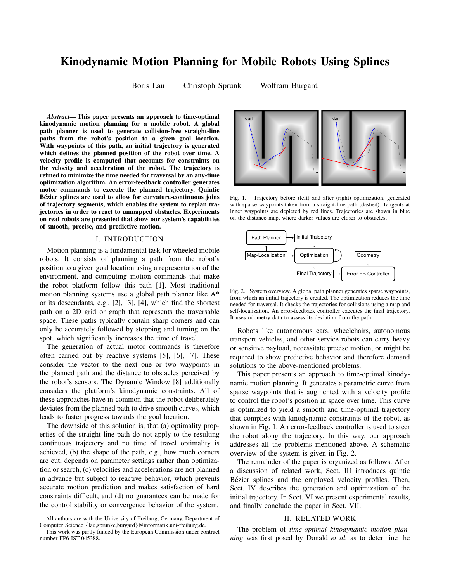# Kinodynamic Motion Planning for Mobile Robots Using Splines

Boris Lau Christoph Sprunk Wolfram Burgard

*Abstract*— This paper presents an approach to time-optimal kinodynamic motion planning for a mobile robot. A global path planner is used to generate collision-free straight-line paths from the robot's position to a given goal location. With waypoints of this path, an initial trajectory is generated which defines the planned position of the robot over time. A velocity profile is computed that accounts for constraints on the velocity and acceleration of the robot. The trajectory is refined to minimize the time needed for traversal by an any-time optimization algorithm. An error-feedback controller generates motor commands to execute the planned trajectory. Quintic Bézier splines are used to allow for curvature-continuous joins of trajectory segments, which enables the system to replan trajectories in order to react to unmapped obstacles. Experiments on real robots are presented that show our system's capabilities of smooth, precise, and predictive motion.

## I. INTRODUCTION

Motion planning is a fundamental task for wheeled mobile robots. It consists of planning a path from the robot's position to a given goal location using a representation of the environment, and computing motion commands that make the robot platform follow this path [1]. Most traditional motion planning systems use a global path planner like A\* or its descendants, e.g., [2], [3], [4], which find the shortest path on a 2D grid or graph that represents the traversable space. These paths typically contain sharp corners and can only be accurately followed by stopping and turning on the spot, which significantly increases the time of travel.

The generation of actual motor commands is therefore often carried out by reactive systems [5], [6], [7]. These consider the vector to the next one or two waypoints in the planned path and the distance to obstacles perceived by the robot's sensors. The Dynamic Window [8] additionally considers the platform's kinodynamic constraints. All of these approaches have in common that the robot deliberately deviates from the planned path to drive smooth curves, which leads to faster progress towards the goal location.

The downside of this solution is, that (a) optimality properties of the straight line path do not apply to the resulting continuous trajectory and no time of travel optimality is achieved, (b) the shape of the path, e.g., how much corners are cut, depends on parameter settings rather than optimization or search, (c) velocities and accelerations are not planned in advance but subject to reactive behavior, which prevents accurate motion prediction and makes satisfaction of hard constraints difficult, and (d) no guarantees can be made for the control stability or convergence behavior of the system.



Fig. 1. Trajectory before (left) and after (right) optimization, generated with sparse waypoints taken from a straight-line path (dashed). Tangents at inner waypoints are depicted by red lines. Trajectories are shown in blue on the distance map, where darker values are closer to obstacles.



Fig. 2. System overview. A global path planner generates sparse waypoints, from which an initial trajectory is created. The optimization reduces the time needed for traversal. It checks the trajectories for collisions using a map and self-localization. An error-feedback controller executes the final trajectory. It uses odometry data to assess its deviation from the path.

Robots like autonomous cars, wheelchairs, autonomous transport vehicles, and other service robots can carry heavy or sensitive payload, necessitate precise motion, or might be required to show predictive behavior and therefore demand solutions to the above-mentioned problems.

This paper presents an approach to time-optimal kinodynamic motion planning. It generates a parametric curve from sparse waypoints that is augmented with a velocity profile to control the robot's position in space over time. This curve is optimized to yield a smooth and time-optimal trajectory that complies with kinodynamic constraints of the robot, as shown in Fig. 1. An error-feedback controller is used to steer the robot along the trajectory. In this way, our approach addresses all the problems mentioned above. A schematic overview of the system is given in Fig. 2.

The remainder of the paper is organized as follows. After a discussion of related work, Sect. III introduces quintic Bézier splines and the employed velocity profiles. Then, Sect. IV describes the generation and optimization of the initial trajectory. In Sect. VI we present experimental results, and finally conclude the paper in Sect. VII.

## II. RELATED WORK

The problem of *time-optimal kinodynamic motion planning* was first posed by Donald *et al.* as to determine the

All authors are with the University of Freiburg, Germany, Department of Computer Science {lau,sprunkc,burgard}@informatik.uni-freiburg.de.

This work was partly funded by the European Commission under contract number FP6-IST-045388.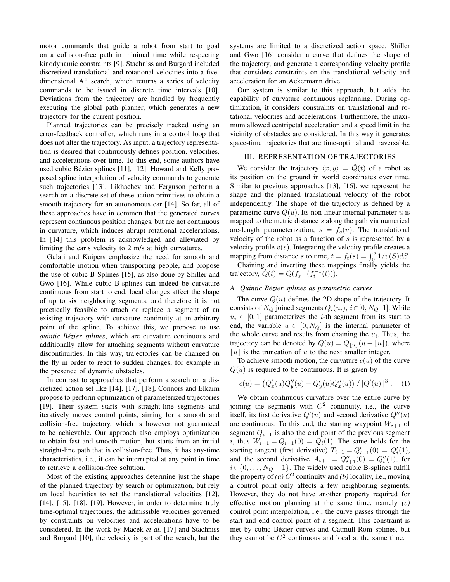motor commands that guide a robot from start to goal on a collision-free path in minimal time while respecting kinodynamic constraints [9]. Stachniss and Burgard included discretized translational and rotational velocities into a fivedimensional A\* search, which returns a series of velocity commands to be issued in discrete time intervals [10]. Deviations from the trajectory are handled by frequently executing the global path planner, which generates a new trajectory for the current position.

Planned trajectories can be precisely tracked using an error-feedback controller, which runs in a control loop that does not alter the trajectory. As input, a trajectory representation is desired that continuously defines position, velocities, and accelerations over time. To this end, some authors have used cubic Bézier splines [11], [12]. Howard and Kelly proposed spline interpolation of velocity commands to generate such trajectories [13]. Likhachev and Ferguson perform a search on a discrete set of these action primitives to obtain a smooth trajectory for an autonomous car [14]. So far, all of these approaches have in common that the generated curves represent continuous position changes, but are not continuous in curvature, which induces abrupt rotational accelerations. In [14] this problem is acknowledged and alleviated by limiting the car's velocity to 2 m/s at high curvatures.

Gulati and Kuipers emphasize the need for smooth and comfortable motion when transporting people, and propose the use of cubic B-Splines [15], as also done by Shiller and Gwo [16]. While cubic B-splines can indeed be curvature continuous from start to end, local changes affect the shape of up to six neighboring segments, and therefore it is not practically feasible to attach or replace a segment of an existing trajectory with curvature continuity at an arbitrary point of the spline. To achieve this, we propose to use *quintic Bézier splines*, which are curvature continuous and additionally allow for attaching segments without curvature discontinuities. In this way, trajectories can be changed on the fly in order to react to sudden changes, for example in the presence of dynamic obstacles.

In contrast to approaches that perform a search on a discretized action set like [14], [17], [18], Connors and Elkaim propose to perform optimization of parameterized trajectories [19]. Their system starts with straight-line segments and iteratively moves control points, aiming for a smooth and collision-free trajectory, which is however not guaranteed to be achievable. Our approach also employs optimization to obtain fast and smooth motion, but starts from an initial straight-line path that is collision-free. Thus, it has any-time characteristics, i.e., it can be interrupted at any point in time to retrieve a collision-free solution.

Most of the existing approaches determine just the shape of the planned trajectory by search or optimization, but rely on local heuristics to set the translational velocities [12], [14], [15], [18], [19]. However, in order to determine truly time-optimal trajectories, the admissible velocities governed by constraints on velocities and accelerations have to be considered. In the work by Macek *et al.* [17] and Stachniss and Burgard [10], the velocity is part of the search, but the systems are limited to a discretized action space. Shiller and Gwo [16] consider a curve that defines the shape of the trajectory, and generate a corresponding velocity profile that considers constraints on the translational velocity and acceleration for an Ackermann drive.

Our system is similar to this approach, but adds the capability of curvature continuous replanning. During optimization, it considers constraints on translational and rotational velocities and accelerations. Furthermore, the maximum allowed centripetal acceleration and a speed limit in the vicinity of obstacles are considered. In this way it generates space-time trajectories that are time-optimal and traversable.

## III. REPRESENTATION OF TRAJECTORIES

We consider the trajectory  $\langle x, y \rangle = \hat{Q}(t)$  of a robot as its position on the ground in world coordinates over time. Similar to previous approaches [13], [16], we represent the shape and the planned translational velocity of the robot independently. The shape of the trajectory is defined by a parametric curve  $Q(u)$ . Its non-linear internal parameter u is mapped to the metric distance s along the path via numerical arc-length parameterization,  $s = f_s(u)$ . The translational velocity of the robot as a function of  $s$  is represented by a velocity profile  $v(s)$ . Integrating the velocity profile creates a mapping from distance s to time,  $t = f_t(s) = \int_0^s 1/v(S)dS$ .

Chaining and inverting these mappings finally yields the trajectory,  $\hat{Q}(t) = Q(f_s^{-1}(f_t^{-1}(t))).$ 

## *A. Quintic Bezier splines as parametric curves ´*

The curve  $Q(u)$  defines the 2D shape of the trajectory. It consists of  $N_Q$  joined segments  $Q_i(u_i)$ ,  $i \in [0, N_Q-1]$ . While  $u_i \in [0, 1]$  parameterizes the *i*-th segment from its start to end, the variable  $u \in [0, N_Q]$  is the internal parameter of the whole curve and results from chaining the  $u_i$ . Thus, the trajectory can be denoted by  $Q(u) = Q_{|u|}(u - |u|)$ , where  $|u|$  is the truncation of u to the next smaller integer.

To achieve smooth motion, the curvature  $c(u)$  of the curve  $Q(u)$  is required to be continuous. It is given by

$$
c(u) = (Q'_x(u)Q''_y(u) - Q'_y(u)Q''_x(u)) / ||Q'(u)||^3.
$$
 (1)

We obtain continuous curvature over the entire curve by joining the segments with  $C^2$  continuity, i.e., the curve itself, its first derivative  $Q'(u)$  and second derivative  $Q''(u)$ are continuous. To this end, the starting waypoint  $W_{i+1}$  of segment  $Q_{i+1}$  is also the end point of the previous segment i, thus  $W_{i+1} = Q_{i+1}(0) = Q_i(1)$ . The same holds for the starting tangent (first derivative)  $T_{i+1} = Q'_{i+1}(0) = Q'_{i}(1)$ , and the second derivative  $A_{i+1} = Q''_{i+1}(0) = Q''_i(1)$ , for  $i \in \{0, \ldots, N_Q - 1\}$ . The widely used cubic B-splines fulfill the property of (*a*)  $C^2$  continuity and (*b*) locality, i.e., moving a control point only affects a few neighboring segments. However, they do not have another property required for effective motion planning at the same time, namely *(c)* control point interpolation, i.e., the curve passes through the start and end control point of a segment. This constraint is met by cubic Bézier curves and Catmull-Rom splines, but they cannot be  $C<sup>2</sup>$  continuous and local at the same time.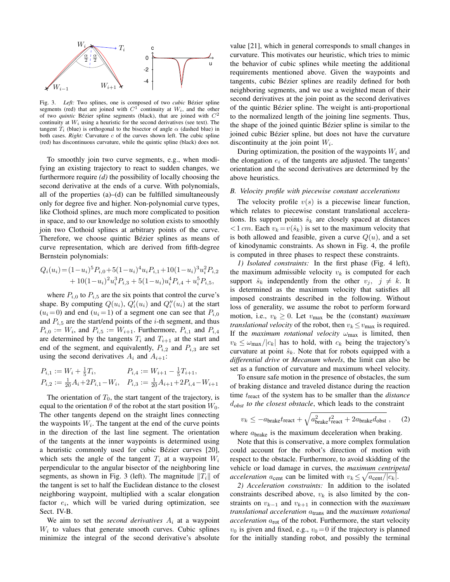

Fig. 3. *Left:* Two splines, one is composed of two *cubic* Bézier spline segments (red) that are joined with  $C^1$  continuity at  $W_i$ , and the other of two *quintic* Bézier spline segments (black), that are joined with  $C<sup>2</sup>$ continuity at  $W_i$  using a heuristic for the second derivatives (see text). The tangent  $T_i$  (blue) is orthogonal to the bisector of angle  $\alpha$  (dashed blue) in both cases. *Right:* Curvature  $c$  of the curves shown left. The cubic spline (red) has discontinuous curvature, while the quintic spline (black) does not.

To smoothly join two curve segments, e.g., when modifying an existing trajectory to react to sudden changes, we furthermore require *(d)* the possibility of locally choosing the second derivative at the ends of a curve. With polynomials, all of the properties  $(a)$ – $(d)$  can be fulfilled simultaneously only for degree five and higher. Non-polynomial curve types, like Clothoid splines, are much more complicated to position in space, and to our knowledge no solution exists to smoothly join two Clothoid splines at arbitrary points of the curve. Therefore, we choose quintic Bézier splines as means of curve representation, which are derived from fifth-degree Bernstein polynomials:

$$
Q_i(u_i) = (1 - u_i)^5 P_{i,0} + 5(1 - u_i)^4 u_i P_{i,1} + 10(1 - u_i)^3 u_i^2 P_{i,2}
$$
  
+ 10(1 - u\_i)^2 u\_i^3 P\_{i,3} + 5(1 - u\_i) u\_i^4 P\_{i,4} + u\_i^5 P\_{i,5},

where  $P_{i,0}$  to  $P_{i,5}$  are the six points that control the curve's shape. By computing  $Q(u_i)$ ,  $Q'_i(u_i)$  and  $Q''_i(u_i)$  at the start  $(u_i = 0)$  and end  $(u_i = 1)$  of a segment one can see that  $P_{i,0}$ and  $P_{i,5}$  are the start/end points of the *i*-th segment, and thus  $P_{i,0} := W_i$ , and  $P_{i,5} := W_{i+1}$ . Furthermore,  $P_{i,1}$  and  $P_{i,4}$ are determined by the tangents  $T_i$  and  $T_{i+1}$  at the start and end of the segment, and equivalently,  $P_{i,2}$  and  $P_{i,3}$  are set using the second derivatives  $A_i$  and  $A_{i+1}$ :

$$
P_{i,1} := W_i + \frac{1}{5}T_i, \qquad P_{i,4} := W_{i+1} - \frac{1}{5}T_{i+1},
$$
  

$$
P_{i,2} := \frac{1}{20}A_i + 2P_{i,1} - W_i, \quad P_{i,3} := \frac{1}{20}A_{i+1} + 2P_{i,4} - W_{i+1}
$$

The orientation of  $T_0$ , the start tangent of the trajectory, is equal to the orientation  $\theta$  of the robot at the start position  $W_0$ . The other tangents depend on the straight lines connecting the waypoints  $W_i$ . The tangent at the end of the curve points in the direction of the last line segment. The orientation of the tangents at the inner waypoints is determined using a heuristic commonly used for cubic Bézier curves [20], which sets the angle of the tangent  $T_i$  at a waypoint  $W_i$ perpendicular to the angular bisector of the neighboring line segments, as shown in Fig. 3 (left). The magnitude  $||T_i||$  of the tangent is set to half the Euclidean distance to the closest neighboring waypoint, multiplied with a scalar elongation factor  $e_i$ , which will be varied during optimization, see Sect. IV-B.

We aim to set the *second derivatives*  $A_i$  at a waypoint  $W<sub>i</sub>$  to values that generate smooth curves. Cubic splines minimize the integral of the second derivative's absolute value [21], which in general corresponds to small changes in curvature. This motivates our heuristic, which tries to mimic the behavior of cubic splines while meeting the additional requirements mentioned above. Given the waypoints and tangents, cubic Bézier splines are readily defined for both neighboring segments, and we use a weighted mean of their second derivatives at the join point as the second derivatives of the quintic Bézier spline. The weight is anti-proportional to the normalized length of the joining line segments. Thus, the shape of the joined quintic Bézier spline is similar to the joined cubic Bézier spline, but does not have the curvature discontinuity at the join point  $W_i$ .

During optimization, the position of the waypoints  $W_i$  and the elongation  $e_i$  of the tangents are adjusted. The tangents' orientation and the second derivatives are determined by the above heuristics.

#### *B. Velocity profile with piecewise constant accelerations*

The velocity profile  $v(s)$  is a piecewise linear function, which relates to piecewise constant translational accelerations. Its support points  $\hat{s}_k$  are closely spaced at distances  $\langle 1 \, \text{cm} \rangle$ . Each  $v_k = v(\hat{s}_k)$  is set to the maximum velocity that is both allowed and feasible, given a curve  $Q(u)$ , and a set of kinodynamic constraints. As shown in Fig. 4, the profile is computed in three phases to respect these constraints.

*1) Isolated constraints:* In the first phase (Fig. 4 left), the maximum admissible velocity  $v_k$  is computed for each support  $\hat{s}_k$  independently from the other  $v_j$ ,  $j \neq k$ . It is determined as the maximum velocity that satisfies all imposed constraints described in the following. Without loss of generality, we assume the robot to perform forward motion, i.e.,  $v_k \geq 0$ . Let  $v_{\text{max}}$  be the (constant) *maximum translational velocity* of the robot, then  $v_k \le v_{\text{max}}$  is required. If the *maximum rotational velocity*  $\omega_{\text{max}}$  is limited, then  $v_k \leq \omega_{\text{max}}/|c_k|$  has to hold, with  $c_k$  being the trajectory's curvature at point  $\hat{s}_k$ . Note that for robots equipped with a *differential drive* or *Mecanum wheels*, the limit can also be set as a function of curvature and maximum wheel velocity.

To ensure safe motion in the presence of obstacles, the sum of braking distance and traveled distance during the reaction time  $t_{\text{react}}$  of the system has to be smaller than the *distance* d*obst to the closest obstacle*, which leads to the constraint

$$
v_k \le -a_{\text{brake}} t_{\text{react}} + \sqrt{a_{\text{brake}}^2 t_{\text{react}}^2 + 2a_{\text{brake}} d_{\text{obst}}}, \quad (2)
$$

where  $a<sub>brake</sub>$  is the maximum deceleration when braking.

Note that this is conservative, a more complex formulation could account for the robot's direction of motion with respect to the obstacle. Furthermore, to avoid skidding of the vehicle or load damage in curves, the *maximum centripetal acceleration*  $a_{cent}$  can be limited with  $v_k \le \sqrt{a_{cent}/|c_k|}$ .

*2) Acceleration constraints:* In addition to the isolated constraints described above,  $v_k$  is also limited by the constraints on  $v_{k-1}$  and  $v_{k+1}$  in connection with the *maximum translational acceleration*  $a<sub>trans</sub>$  and the *maximum rotational acceleration*  $a_{\text{rot}}$  of the robot. Furthermore, the start velocity  $v_0$  is given and fixed, e.g.,  $v_0 = 0$  if the trajectory is planned for the initially standing robot, and possibly the terminal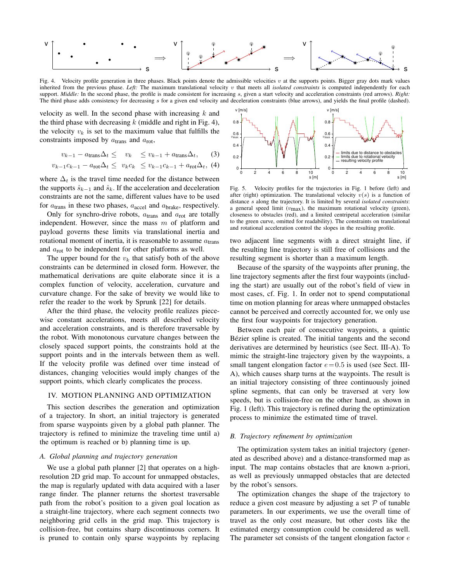

Fig. 4. Velocity profile generation in three phases. Black points denote the admissible velocities  $v$  at the supports points. Bigger gray dots mark values inherited from the previous phase. *Left:* The maximum translational velocity  $v$  that meets all *isolated constraints* is computed independently for each support. *Middle:* In the second phase, the profile is made consistent for increasing s, given a start velocity and acceleration constraints (red arrows). *Right:* The third phase adds consistency for decreasing s for a given end velocity and deceleration constraints (blue arrows), and yields the final profile (dashed).

velocity as well. In the second phase with increasing  $k$  and the third phase with decreasing  $k$  (middle and right in Fig. 4), the velocity  $v_k$  is set to the maximum value that fulfills the constraints imposed by  $a<sub>trans</sub>$  and  $a<sub>rot</sub>$ ,

$$
v_{k-1} - a_{\text{trans}} \Delta_t \leq v_k \leq v_{k-1} + a_{\text{trans}} \Delta_t, \qquad (3)
$$

$$
v_{k-1}c_{k-1} - a_{\text{rot}}\Delta_t \leq v_kc_k \leq v_{k-1}c_{k-1} + a_{\text{rot}}\Delta_t, (4)
$$

where  $\Delta_t$  is the travel time needed for the distance between the supports  $\hat{s}_{k-1}$  and  $\hat{s}_k$ . If the acceleration and deceleration constraints are not the same, different values have to be used for  $a<sub>trans</sub>$  in these two phases,  $a<sub>accel</sub>$  and  $a<sub>brake</sub>$ , respectively.

Only for synchro-drive robots,  $a<sub>trans</sub>$  and  $a<sub>rot</sub>$  are totally independent. However, since the mass  $m$  of platform and payload governs these limits via translational inertia and rotational moment of inertia, it is reasonable to assume  $a<sub>trans</sub>$ and  $a_{\text{rot}}$  to be independent for other platforms as well.

The upper bound for the  $v_k$  that satisfy both of the above constraints can be determined in closed form. However, the mathematical derivations are quite elaborate since it is a complex function of velocity, acceleration, curvature and curvature change. For the sake of brevity we would like to refer the reader to the work by Sprunk [22] for details.

After the third phase, the velocity profile realizes piecewise constant accelerations, meets all described velocity and acceleration constraints, and is therefore traversable by the robot. With monotonous curvature changes between the closely spaced support points, the constraints hold at the support points and in the intervals between them as well. If the velocity profile was defined over time instead of distances, changing velocities would imply changes of the support points, which clearly complicates the process.

### IV. MOTION PLANNING AND OPTIMIZATION

This section describes the generation and optimization of a trajectory. In short, an initial trajectory is generated from sparse waypoints given by a global path planner. The trajectory is refined to minimize the traveling time until a) the optimum is reached or b) planning time is up.

## *A. Global planning and trajectory generation*

We use a global path planner [2] that operates on a highresolution 2D grid map. To account for unmapped obstacles, the map is regularly updated with data acquired with a laser range finder. The planner returns the shortest traversable path from the robot's position to a given goal location as a straight-line trajectory, where each segment connects two neighboring grid cells in the grid map. This trajectory is collision-free, but contains sharp discontinuous corners. It is pruned to contain only sparse waypoints by replacing



Fig. 5. Velocity profiles for the trajectories in Fig. 1 before (left) and after (right) optimization. The translational velocity  $v(s)$  is a function of distance s along the trajectory. It is limited by several *isolated constraints*: a general speed limit  $(v_{\text{max}})$ , the maximum rotational velocity (green), closeness to obstacles (red), and a limited centripetal acceleration (similar to the green curve, omitted for readability). The constraints on translational and rotational acceleration control the slopes in the resulting profile.

two adjacent line segments with a direct straight line, if the resulting line trajectory is still free of collisions and the resulting segment is shorter than a maximum length.

Because of the sparsity of the waypoints after pruning, the line trajectory segments after the first four waypoints (including the start) are usually out of the robot's field of view in most cases, cf. Fig. 1. In order not to spend computational time on motion planning for areas where unmapped obstacles cannot be perceived and correctly accounted for, we only use the first four waypoints for trajectory generation.

Between each pair of consecutive waypoints, a quintic Bézier spline is created. The initial tangents and the second derivatives are determined by heuristics (see Sect. III-A). To mimic the straight-line trajectory given by the waypoints, a small tangent elongation factor  $e = 0.5$  is used (see Sect. III-A), which causes sharp turns at the waypoints. The result is an initial trajectory consisting of three continuously joined spline segments, that can only be traversed at very low speeds, but is collision-free on the other hand, as shown in Fig. 1 (left). This trajectory is refined during the optimization process to minimize the estimated time of travel.

## *B. Trajectory refinement by optimization*

The optimization system takes an initial trajectory (generated as described above) and a distance-transformed map as input. The map contains obstacles that are known a-priori, as well as previously unmapped obstacles that are detected by the robot's sensors.

The optimization changes the shape of the trajectory to reduce a given cost measure by adjusting a set  $P$  of tunable parameters. In our experiments, we use the overall time of travel as the only cost measure, but other costs like the estimated energy consumption could be considered as well. The parameter set consists of the tangent elongation factor  $e$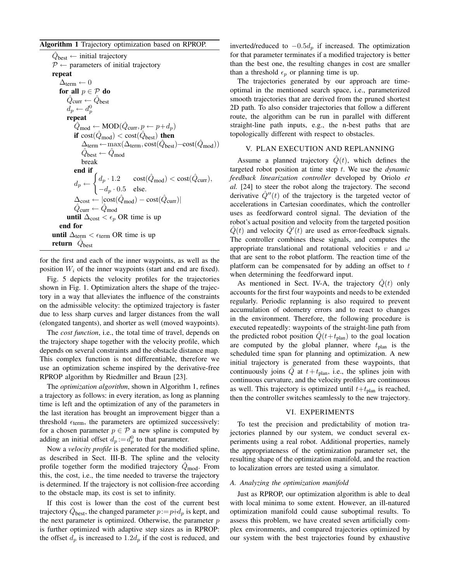Algorithm 1 Trajectory optimization based on RPROP.

 $\hat{Q}_{\text{best}} \leftarrow$  initial trajectory  $P \leftarrow$  parameters of initial trajectory repeat  $\Delta_{\text{term}} \leftarrow 0$ for all  $p \in \mathcal{P}$  do  $\hat{Q}_{\mathsf{curr}} \leftarrow \hat{Q}_{\mathsf{best}}$  $d_p \leftarrow d_p^0$ repeat  $\hat{Q}_{\text{mod}} \leftarrow \text{MOD}(\hat{Q}_{\text{curr}}, p \leftarrow p + d_p)$ if  $cost(\hat{Q}_{mod}) < cost(\hat{Q}_{best})$  then  $\Delta_{\text{term}} \leftarrow \max(\Delta_{\text{term}}, \text{cost}(\hat{Q}_{\text{best}}) - \text{cost}(\hat{Q}_{\text{mod}}))$  $\hat{Q}_{\mathsf{best}} \leftarrow \hat{Q}_{\mathsf{mod}}$ break end if  $d_p \leftarrow$  $\int d_p \cdot 1.2$  cost $(\hat{Q}_{\text{mod}}) < \text{cost}(\hat{Q}_{\text{curr}}),$  $-d_p \cdot 0.5$  else.  $\Delta_{\text{cost}} \leftarrow |\text{cost}(\hat{Q}_{\text{mod}}) - \text{cost}(\hat{Q}_{\text{curr}})|$  $\hat{Q}_{\text{curr}} \leftarrow \hat{Q}_{\text{mod}}$ until  $\Delta$ <sub>cost</sub> <  $\epsilon$ <sub>*p*</sub> OR time is up end for until  $\Delta_{\text{term}} < \epsilon_{\text{term}}$  OR time is up return  $\hat{Q}_{\text{best}}$ 

for the first and each of the inner waypoints, as well as the position  $W_i$  of the inner waypoints (start and end are fixed).

Fig. 5 depicts the velocity profiles for the trajectories shown in Fig. 1. Optimization alters the shape of the trajectory in a way that alleviates the influence of the constraints on the admissible velocity: the optimized trajectory is faster due to less sharp curves and larger distances from the wall (elongated tangents), and shorter as well (moved waypoints).

The *cost function*, i.e., the total time of travel, depends on the trajectory shape together with the velocity profile, which depends on several constraints and the obstacle distance map. This complex function is not differentiable, therefore we use an optimization scheme inspired by the derivative-free RPROP algorithm by Riedmiller and Braun [23].

The *optimization algorithm*, shown in Algorithm 1, refines a trajectory as follows: in every iteration, as long as planning time is left and the optimization of any of the parameters in the last iteration has brought an improvement bigger than a threshold  $\epsilon_{\text{term}}$ , the parameters are optimized successively: for a chosen parameter  $p \in \mathcal{P}$  a new spline is computed by adding an initial offset  $d_p := d_p^0$  to that parameter.

Now a *velocity profile* is generated for the modified spline, as described in Sect. III-B. The spline and the velocity profile together form the modified trajectory  $Q_{mod}$ . From this, the cost, i.e., the time needed to traverse the trajectory is determined. If the trajectory is not collision-free according to the obstacle map, its cost is set to infinity.

If this cost is lower than the cost of the current best trajectory  $\hat{Q}_{\text{best}}$ , the changed parameter  $p\!:=\!p\!+\!d_p$  is kept, and the next parameter is optimized. Otherwise, the parameter  $p$ is further optimized with adaptive step sizes as in RPROP: the offset  $d_p$  is increased to  $1.2d_p$  if the cost is reduced, and inverted/reduced to  $-0.5d_p$  if increased. The optimization for that parameter terminates if a modified trajectory is better than the best one, the resulting changes in cost are smaller than a threshold  $\epsilon_p$  or planning time is up.

The trajectories generated by our approach are timeoptimal in the mentioned search space, i.e., parameterized smooth trajectories that are derived from the pruned shortest 2D path. To also consider trajectories that follow a different route, the algorithm can be run in parallel with different straight-line path inputs, e.g., the n-best paths that are topologically different with respect to obstacles.

## V. PLAN EXECUTION AND REPLANNING

Assume a planned trajectory  $\hat{Q}(t)$ , which defines the targeted robot position at time step t. We use the *dynamic feedback linearization controller* developed by Oriolo *et al.* [24] to steer the robot along the trajectory. The second derivative  $\hat{Q}^{\prime\prime}(t)$  of the trajectory is the targeted vector of accelerations in Cartesian coordinates, which the controller uses as feedforward control signal. The deviation of the robot's actual position and velocity from the targeted position  $\hat{Q}(t)$  and velocity  $\hat{Q}'(t)$  are used as error-feedback signals. The controller combines these signals, and computes the appropriate translational and rotational velocities v and  $\omega$ that are sent to the robot platform. The reaction time of the platform can be compensated for by adding an offset to  $t$ when determining the feedforward input.

As mentioned in Sect. IV-A, the trajectory  $\dot{Q}(t)$  only accounts for the first four waypoints and needs to be extended regularly. Periodic replanning is also required to prevent accumulation of odometry errors and to react to changes in the environment. Therefore, the following procedure is executed repeatedly: waypoints of the straight-line path from the predicted robot position  $\hat{Q}(t+t_{\text{plan}})$  to the goal location are computed by the global planner, where  $t_{\text{plan}}$  is the scheduled time span for planning and optimization. A new initial trajectory is generated from these waypoints, that continuously joins  $\hat{Q}$  at  $t+t_{\text{plan}}$ , i.e., the splines join with continuous curvature, and the velocity profiles are continuous as well. This trajectory is optimized until  $t+t_{\text{plan}}$  is reached, then the controller switches seamlessly to the new trajectory.

## VI. EXPERIMENTS

To test the precision and predictability of motion trajectories planned by our system, we conduct several experiments using a real robot. Additional properties, namely the appropriateness of the optimization parameter set, the resulting shape of the optimization manifold, and the reaction to localization errors are tested using a simulator.

#### *A. Analyzing the optimization manifold*

Just as RPROP, our optimization algorithm is able to deal with local minima to some extent. However, an ill-natured optimization manifold could cause suboptimal results. To assess this problem, we have created seven artificially complex environments, and compared trajectories optimized by our system with the best trajectories found by exhaustive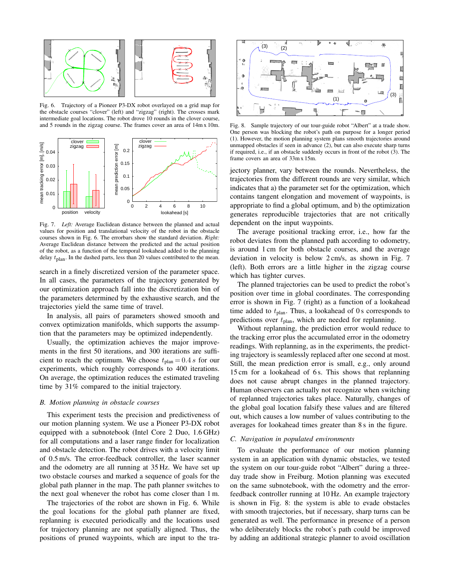

Fig. 6. Trajectory of a Pioneer P3-DX robot overlayed on a grid map for the obstacle courses "clover" (left) and "zigzag" (right). The crosses mark intermediate goal locations. The robot drove 10 rounds in the clover course, and 5 rounds in the zigzag course. The frames cover an area of 14m x 10m.



Fig. 7. *Left:* Average Euclidean distance between the planned and actual values for position and translational velocity of the robot in the obstacle courses shown in Fig. 6. The errorbars show the standard deviation. *Right:* Average Euclidean distance between the predicted and the actual position of the robot, as a function of the temporal lookahead added to the planning delay  $t<sub>plan</sub>$ . In the dashed parts, less than 20 values contributed to the mean.

search in a finely discretized version of the parameter space. In all cases, the parameters of the trajectory generated by our optimization approach fall into the discretization bin of the parameters determined by the exhaustive search, and the trajectories yield the same time of travel.

In analysis, all pairs of parameters showed smooth and convex optimization manifolds, which supports the assumption that the parameters may be optimized independently.

Usually, the optimization achieves the major improvements in the first 50 iterations, and 300 iterations are sufficient to reach the optimum. We choose  $t_{\text{plan}} = 0.4 s$  for our experiments, which roughly corresponds to 400 iterations. On average, the optimization reduces the estimated traveling time by 31% compared to the initial trajectory.

### *B. Motion planning in obstacle courses*

This experiment tests the precision and predictiveness of our motion planning system. We use a Pioneer P3-DX robot equipped with a subnotebook (Intel Core 2 Duo, 1.6 GHz) for all computations and a laser range finder for localization and obstacle detection. The robot drives with a velocity limit of 0.5 m/s. The error-feedback controller, the laser scanner and the odometry are all running at 35 Hz. We have set up two obstacle courses and marked a sequence of goals for the global path planner in the map. The path planner switches to the next goal whenever the robot has come closer than 1 m.

The trajectories of the robot are shown in Fig. 6. While the goal locations for the global path planner are fixed, replanning is executed periodically and the locations used for trajectory planning are not spatially aligned. Thus, the



Fig. 8. Sample trajectory of our tour-guide robot "Albert" at a trade show. One person was blocking the robot's path on purpose for a longer period (1). However, the motion planning system plans smooth trajectories around unmapped obstacles if seen in advance (2), but can also execute sharp turns if required, i.e., if an obstacle suddenly occurs in front of the robot (3). The frame covers an area of 33m x 15m.

jectory planner, vary between the rounds. Nevertheless, the trajectories from the different rounds are very similar, which indicates that a) the parameter set for the optimization, which contains tangent elongation and movement of waypoints, is appropriate to find a global optimum, and b) the optimization generates reproducible trajectories that are not critically dependent on the input waypoints.

The average positional tracking error, i.e., how far the robot deviates from the planned path according to odometry, is around 1 cm for both obstacle courses, and the average deviation in velocity is below 2 cm/s, as shown in Fig. 7 (left). Both errors are a little higher in the zigzag course which has tighter curves.

The planned trajectories can be used to predict the robot's position over time in global coordinates. The corresponding error is shown in Fig. 7 (right) as a function of a lookahead time added to  $t_{\text{plan}}$ . Thus, a lookahead of 0 s corresponds to predictions over  $t_{\text{plan}}$ , which are needed for replanning.

position in the control of the second waypoint in the control of the second way of the second way of the second way of the second way of the second way of the second way of the second way of the second way of the tra- (1) Without replanning, the prediction error would reduce to the tracking error plus the accumulated error in the odometry readings. With replanning, as in the experiments, the predicting trajectory is seamlessly replaced after one second at most. Still, the mean prediction error is small, e.g., only around 15 cm for a lookahead of 6 s. This shows that replanning does not cause abrupt changes in the planned trajectory. Human observers can actually not recognize when switching of replanned trajectories takes place. Naturally, changes of the global goal location falsify these values and are filtered out, which causes a low number of values contributing to the averages for lookahead times greater than 8 s in the figure.

### *C. Navigation in populated environments*

To evaluate the performance of our motion planning system in an application with dynamic obstacles, we tested the system on our tour-guide robot "Albert" during a threeday trade show in Freiburg. Motion planning was executed on the same subnotebook, with the odometry and the errorfeedback controller running at 10 Hz. An example trajectory is shown in Fig. 8: the system is able to evade obstacles with smooth trajectories, but if necessary, sharp turns can be generated as well. The performance in presence of a person who deliberately blocks the robot's path could be improved by adding an additional strategic planner to avoid oscillation